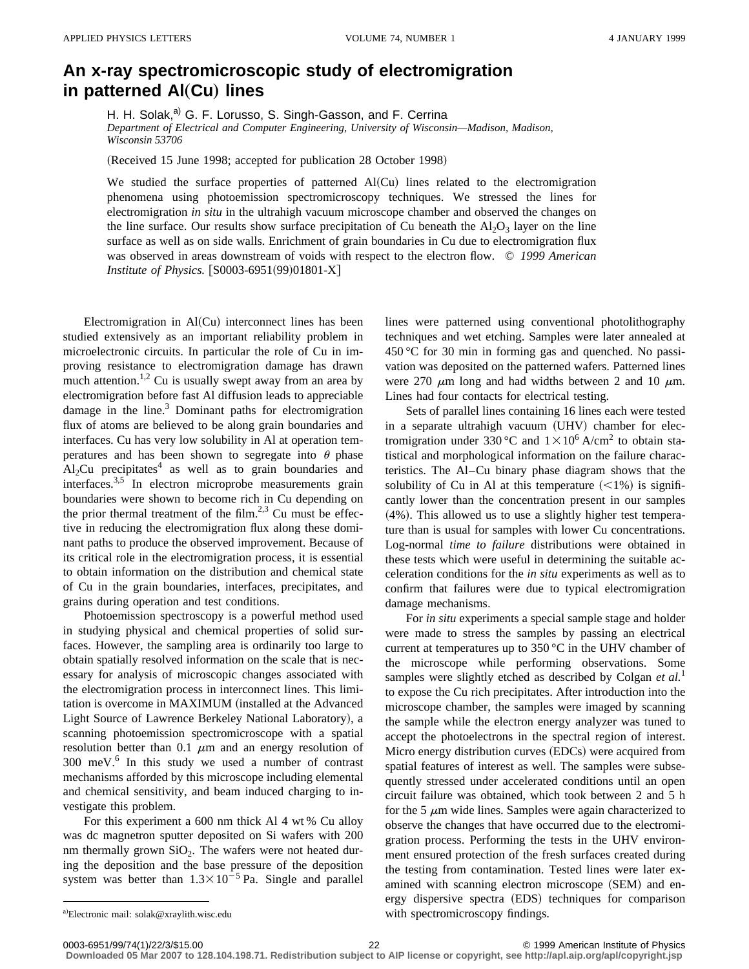## **An x-ray spectromicroscopic study of electromigration in patterned Al(Cu) lines**

H. H. Solak,<sup>a)</sup> G. F. Lorusso, S. Singh-Gasson, and F. Cerrina *Department of Electrical and Computer Engineering, University of Wisconsin—Madison, Madison, Wisconsin 53706*

(Received 15 June 1998; accepted for publication 28 October 1998)

We studied the surface properties of patterned  $Al(Cu)$  lines related to the electromigration phenomena using photoemission spectromicroscopy techniques. We stressed the lines for electromigration *in situ* in the ultrahigh vacuum microscope chamber and observed the changes on the line surface. Our results show surface precipitation of Cu beneath the  $Al_2O_3$  layer on the line surface as well as on side walls. Enrichment of grain boundaries in Cu due to electromigration flux was observed in areas downstream of voids with respect to the electron flow. © *1999 American Institute of Physics.* [S0003-6951(99)01801-X]

Electromigration in  $AI(Cu)$  interconnect lines has been studied extensively as an important reliability problem in microelectronic circuits. In particular the role of Cu in improving resistance to electromigration damage has drawn much attention.<sup>1,2</sup> Cu is usually swept away from an area by electromigration before fast Al diffusion leads to appreciable damage in the line. $3$  Dominant paths for electromigration flux of atoms are believed to be along grain boundaries and interfaces. Cu has very low solubility in Al at operation temperatures and has been shown to segregate into  $\theta$  phase  $Al<sub>2</sub>Cu$  precipitates<sup>4</sup> as well as to grain boundaries and interfaces.3,5 In electron microprobe measurements grain boundaries were shown to become rich in Cu depending on the prior thermal treatment of the film.<sup>2,3</sup> Cu must be effective in reducing the electromigration flux along these dominant paths to produce the observed improvement. Because of its critical role in the electromigration process, it is essential to obtain information on the distribution and chemical state of Cu in the grain boundaries, interfaces, precipitates, and grains during operation and test conditions.

Photoemission spectroscopy is a powerful method used in studying physical and chemical properties of solid surfaces. However, the sampling area is ordinarily too large to obtain spatially resolved information on the scale that is necessary for analysis of microscopic changes associated with the electromigration process in interconnect lines. This limitation is overcome in MAXIMUM (installed at the Advanced Light Source of Lawrence Berkeley National Laboratory), a scanning photoemission spectromicroscope with a spatial resolution better than 0.1  $\mu$ m and an energy resolution of  $300$  meV. $^{6}$  In this study we used a number of contrast mechanisms afforded by this microscope including elemental and chemical sensitivity, and beam induced charging to investigate this problem.

For this experiment a 600 nm thick Al 4 wt % Cu alloy was dc magnetron sputter deposited on Si wafers with 200 nm thermally grown  $SiO<sub>2</sub>$ . The wafers were not heated during the deposition and the base pressure of the deposition system was better than  $1.3 \times 10^{-5}$  Pa. Single and parallel lines were patterned using conventional photolithography techniques and wet etching. Samples were later annealed at 450 °C for 30 min in forming gas and quenched. No passivation was deposited on the patterned wafers. Patterned lines were 270  $\mu$ m long and had widths between 2 and 10  $\mu$ m. Lines had four contacts for electrical testing.

Sets of parallel lines containing 16 lines each were tested in a separate ultrahigh vacuum (UHV) chamber for electromigration under 330 °C and  $1 \times 10^6$  A/cm<sup>2</sup> to obtain statistical and morphological information on the failure characteristics. The Al–Cu binary phase diagram shows that the solubility of Cu in Al at this temperature  $(<1%)$  is significantly lower than the concentration present in our samples  $(4%)$ . This allowed us to use a slightly higher test temperature than is usual for samples with lower Cu concentrations. Log-normal *time to failure* distributions were obtained in these tests which were useful in determining the suitable acceleration conditions for the *in situ* experiments as well as to confirm that failures were due to typical electromigration damage mechanisms.

For *in situ* experiments a special sample stage and holder were made to stress the samples by passing an electrical current at temperatures up to 350 °C in the UHV chamber of the microscope while performing observations. Some samples were slightly etched as described by Colgan *et al.*<sup>1</sup> to expose the Cu rich precipitates. After introduction into the microscope chamber, the samples were imaged by scanning the sample while the electron energy analyzer was tuned to accept the photoelectrons in the spectral region of interest. Micro energy distribution curves (EDCs) were acquired from spatial features of interest as well. The samples were subsequently stressed under accelerated conditions until an open circuit failure was obtained, which took between 2 and 5 h for the 5  $\mu$ m wide lines. Samples were again characterized to observe the changes that have occurred due to the electromigration process. Performing the tests in the UHV environment ensured protection of the fresh surfaces created during the testing from contamination. Tested lines were later examined with scanning electron microscope (SEM) and energy dispersive spectra (EDS) techniques for comparison with spectromicroscopy findings.

**Downloaded 05 Mar 2007 to 128.104.198.71. Redistribution subject to AIP license or copyright, see http://apl.aip.org/apl/copyright.jsp**

a)Electronic mail: solak@xraylith.wisc.edu

<sup>0003-6951/99/74(1)/22/3/\$15.00</sup> 22 © 1999 American Institute of Physics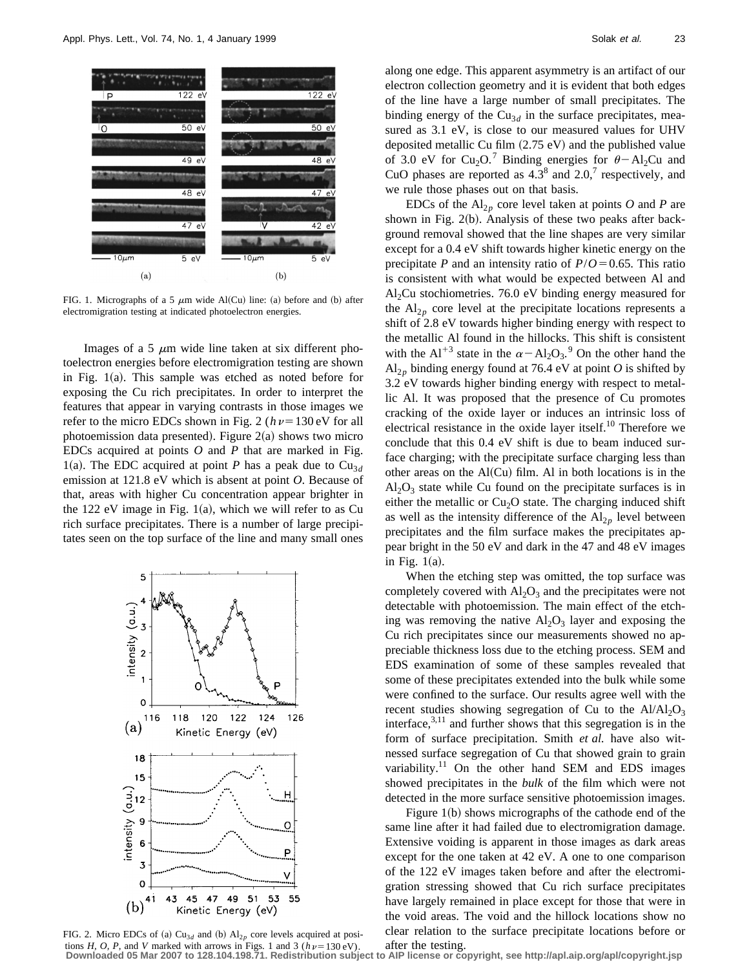

FIG. 1. Micrographs of a 5  $\mu$ m wide Al(Cu) line: (a) before and (b) after electromigration testing at indicated photoelectron energies.

Images of a 5  $\mu$ m wide line taken at six different photoelectron energies before electromigration testing are shown in Fig.  $1(a)$ . This sample was etched as noted before for exposing the Cu rich precipitates. In order to interpret the features that appear in varying contrasts in those images we refer to the micro EDCs shown in Fig. 2 ( $h\nu=130 \text{ eV}$  for all photoemission data presented). Figure  $2(a)$  shows two micro EDCs acquired at points *O* and *P* that are marked in Fig. 1(a). The EDC acquired at point *P* has a peak due to  $Cu_{3d}$ emission at 121.8 eV which is absent at point *O*. Because of that, areas with higher Cu concentration appear brighter in the 122 eV image in Fig. 1(a), which we will refer to as Cu rich surface precipitates. There is a number of large precipitates seen on the top surface of the line and many small ones



FIG. 2. Micro EDCs of (a)  $Cu_{3d}$  and (b)  $Al_{2p}$  core levels acquired at posi-

along one edge. This apparent asymmetry is an artifact of our electron collection geometry and it is evident that both edges of the line have a large number of small precipitates. The binding energy of the  $Cu_{3d}$  in the surface precipitates, measured as 3.1 eV, is close to our measured values for UHV deposited metallic Cu film  $(2.75 \text{ eV})$  and the published value of 3.0 eV for Cu<sub>2</sub>O.<sup>7</sup> Binding energies for  $\theta$  – Al<sub>2</sub>Cu and CuO phases are reported as  $4.3^8$  and  $2.0$ ,<sup>7</sup> respectively, and we rule those phases out on that basis.

EDCs of the  $Al_{2p}$  core level taken at points O and P are shown in Fig.  $2(b)$ . Analysis of these two peaks after background removal showed that the line shapes are very similar except for a 0.4 eV shift towards higher kinetic energy on the precipitate *P* and an intensity ratio of  $P/O = 0.65$ . This ratio is consistent with what would be expected between Al and  $Al<sub>2</sub>Cu$  stochiometries. 76.0 eV binding energy measured for the  $Al_{2p}$  core level at the precipitate locations represents a shift of 2.8 eV towards higher binding energy with respect to the metallic Al found in the hillocks. This shift is consistent with the Al<sup>+3</sup> state in the  $\alpha - Al_2O_3$ .<sup>9</sup> On the other hand the  $Al_{2p}$  binding energy found at 76.4 eV at point *O* is shifted by 3.2 eV towards higher binding energy with respect to metallic Al. It was proposed that the presence of Cu promotes cracking of the oxide layer or induces an intrinsic loss of electrical resistance in the oxide layer itself.<sup>10</sup> Therefore we conclude that this 0.4 eV shift is due to beam induced surface charging; with the precipitate surface charging less than other areas on the  $Al(Cu)$  film. Al in both locations is in the  $Al_2O_3$  state while Cu found on the precipitate surfaces is in either the metallic or  $Cu<sub>2</sub>O$  state. The charging induced shift as well as the intensity difference of the  $Al_{2p}$  level between precipitates and the film surface makes the precipitates appear bright in the 50 eV and dark in the 47 and 48 eV images in Fig.  $1(a)$ .

When the etching step was omitted, the top surface was completely covered with  $Al_2O_3$  and the precipitates were not detectable with photoemission. The main effect of the etching was removing the native  $Al_2O_3$  layer and exposing the Cu rich precipitates since our measurements showed no appreciable thickness loss due to the etching process. SEM and EDS examination of some of these samples revealed that some of these precipitates extended into the bulk while some were confined to the surface. Our results agree well with the recent studies showing segregation of Cu to the  $Al/Al_2O_3$ interface, $3,11$  and further shows that this segregation is in the form of surface precipitation. Smith *et al.* have also witnessed surface segregation of Cu that showed grain to grain variability.<sup>11</sup> On the other hand SEM and EDS images showed precipitates in the *bulk* of the film which were not detected in the more surface sensitive photoemission images.

Figure  $1(b)$  shows micrographs of the cathode end of the same line after it had failed due to electromigration damage. Extensive voiding is apparent in those images as dark areas except for the one taken at 42 eV. A one to one comparison of the 122 eV images taken before and after the electromigration stressing showed that Cu rich surface precipitates have largely remained in place except for those that were in the void areas. The void and the hillock locations show no clear relation to the surface precipitate locations before or

tions H, O, P, and V marked with arrows in Figs. 1 and 3 ( $h\nu$  = 130 eV). after the testing.<br>Downloaded 05 Mar 2007 to 128.104.198.71. Redistribution subject to AIP license or copyright, see http://apl.aip.org/apl/copyri